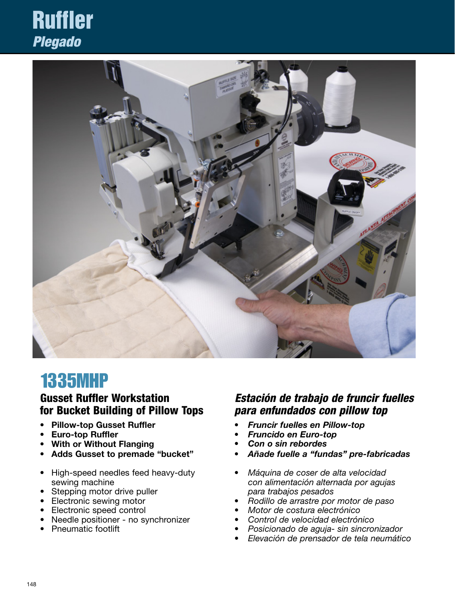## Ruffler *Plegado*



### 1335MHP

#### Gusset Ruffler Workstation for Bucket Building of Pillow Tops

- Pillow-top Gusset Ruffler
- Euro-top Ruffler
- With or Without Flanging
- Adds Gusset to premade "bucket"
- High-speed needles feed heavy-duty sewing machine
- Stepping motor drive puller
- Electronic sewing motor
- **Electronic speed control**
- Needle positioner no synchronizer
- • Pneumatic footlift

#### *Estación de trabajo de fruncir fuelles para enfundados con pillow top*

- • Fruncir fuelles en Pillow-top
- **Fruncido en Euro-top**
- Con o sin rebordes
- Añade fuelle a "fundas" pre-fabricadas
- • Máquina de coser de alta velocidad *con alimentación alternada por agujas para trabajos pesados*
- Rodillo de arrastre por motor de paso
- Motor de costura electrónico
- Control de velocidad electrónico
- Posicionado de aguja- sin sincronizador
- Elevación de prensador de tela neumático